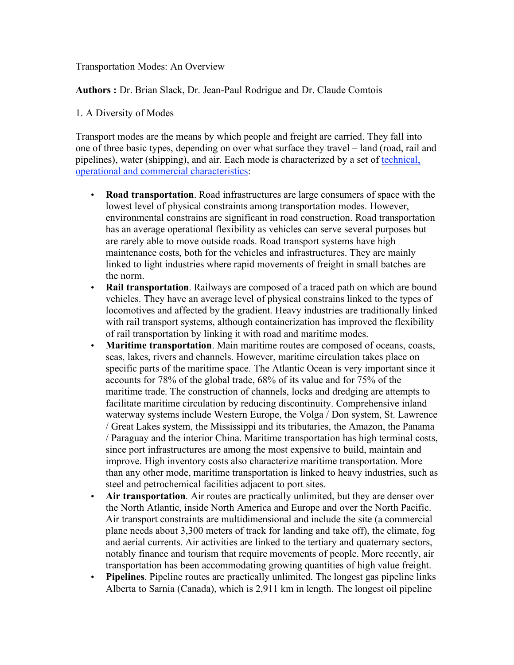### Transportation Modes: An Overview

**Authors :** Dr. Brian Slack, Dr. Jean-Paul Rodrigue and Dr. Claude Comtois

## 1. A Diversity of Modes

Transport modes are the means by which people and freight are carried. They fall into one of three basic types, depending on over what surface they travel – land (road, rail and pipelines), water (shipping), and air. Each mode is characterized by a set of technical, operational and commercial characteristics:

- **Road transportation**. Road infrastructures are large consumers of space with the lowest level of physical constraints among transportation modes. However, environmental constrains are significant in road construction. Road transportation has an average operational flexibility as vehicles can serve several purposes but are rarely able to move outside roads. Road transport systems have high maintenance costs, both for the vehicles and infrastructures. They are mainly linked to light industries where rapid movements of freight in small batches are the norm.
- **Rail transportation**. Railways are composed of a traced path on which are bound vehicles. They have an average level of physical constrains linked to the types of locomotives and affected by the gradient. Heavy industries are traditionally linked with rail transport systems, although containerization has improved the flexibility of rail transportation by linking it with road and maritime modes.
- **Maritime transportation**. Main maritime routes are composed of oceans, coasts, seas, lakes, rivers and channels. However, maritime circulation takes place on specific parts of the maritime space. The Atlantic Ocean is very important since it accounts for 78% of the global trade, 68% of its value and for 75% of the maritime trade. The construction of channels, locks and dredging are attempts to facilitate maritime circulation by reducing discontinuity. Comprehensive inland waterway systems include Western Europe, the Volga / Don system, St. Lawrence / Great Lakes system, the Mississippi and its tributaries, the Amazon, the Panama / Paraguay and the interior China. Maritime transportation has high terminal costs, since port infrastructures are among the most expensive to build, maintain and improve. High inventory costs also characterize maritime transportation. More than any other mode, maritime transportation is linked to heavy industries, such as steel and petrochemical facilities adjacent to port sites.
- **Air transportation**. Air routes are practically unlimited, but they are denser over the North Atlantic, inside North America and Europe and over the North Pacific. Air transport constraints are multidimensional and include the site (a commercial plane needs about 3,300 meters of track for landing and take off), the climate, fog and aerial currents. Air activities are linked to the tertiary and quaternary sectors, notably finance and tourism that require movements of people. More recently, air transportation has been accommodating growing quantities of high value freight.
- **Pipelines**. Pipeline routes are practically unlimited. The longest gas pipeline links Alberta to Sarnia (Canada), which is 2,911 km in length. The longest oil pipeline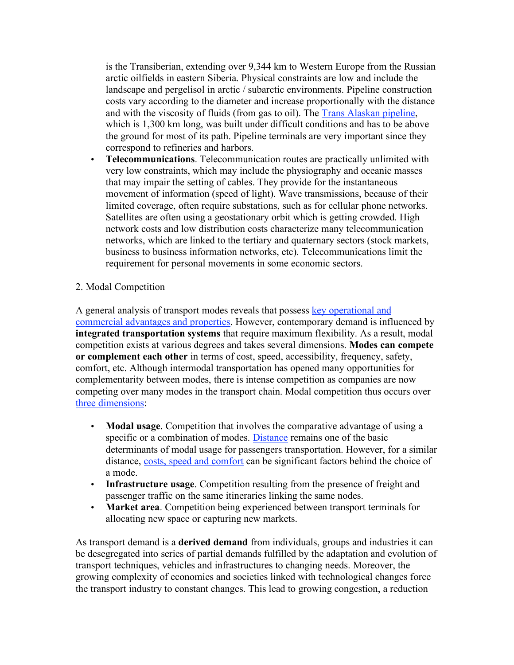is the Transiberian, extending over 9,344 km to Western Europe from the Russian arctic oilfields in eastern Siberia. Physical constraints are low and include the landscape and pergelisol in arctic / subarctic environments. Pipeline construction costs vary according to the diameter and increase proportionally with the distance and with the viscosity of fluids (from gas to oil). The Trans Alaskan pipeline, which is 1,300 km long, was built under difficult conditions and has to be above the ground for most of its path. Pipeline terminals are very important since they correspond to refineries and harbors.

• **Telecommunications**. Telecommunication routes are practically unlimited with very low constraints, which may include the physiography and oceanic masses that may impair the setting of cables. They provide for the instantaneous movement of information (speed of light). Wave transmissions, because of their limited coverage, often require substations, such as for cellular phone networks. Satellites are often using a geostationary orbit which is getting crowded. High network costs and low distribution costs characterize many telecommunication networks, which are linked to the tertiary and quaternary sectors (stock markets, business to business information networks, etc). Telecommunications limit the requirement for personal movements in some economic sectors.

## 2. Modal Competition

A general analysis of transport modes reveals that possess key operational and commercial advantages and properties. However, contemporary demand is influenced by **integrated transportation systems** that require maximum flexibility. As a result, modal competition exists at various degrees and takes several dimensions. **Modes can compete or complement each other** in terms of cost, speed, accessibility, frequency, safety, comfort, etc. Although intermodal transportation has opened many opportunities for complementarity between modes, there is intense competition as companies are now competing over many modes in the transport chain. Modal competition thus occurs over three dimensions:

- **Modal usage**. Competition that involves the comparative advantage of using a specific or a combination of modes. Distance remains one of the basic determinants of modal usage for passengers transportation. However, for a similar distance, costs, speed and comfort can be significant factors behind the choice of a mode.
- **Infrastructure usage**. Competition resulting from the presence of freight and passenger traffic on the same itineraries linking the same nodes.
- **Market area**. Competition being experienced between transport terminals for allocating new space or capturing new markets.

As transport demand is a **derived demand** from individuals, groups and industries it can be desegregated into series of partial demands fulfilled by the adaptation and evolution of transport techniques, vehicles and infrastructures to changing needs. Moreover, the growing complexity of economies and societies linked with technological changes force the transport industry to constant changes. This lead to growing congestion, a reduction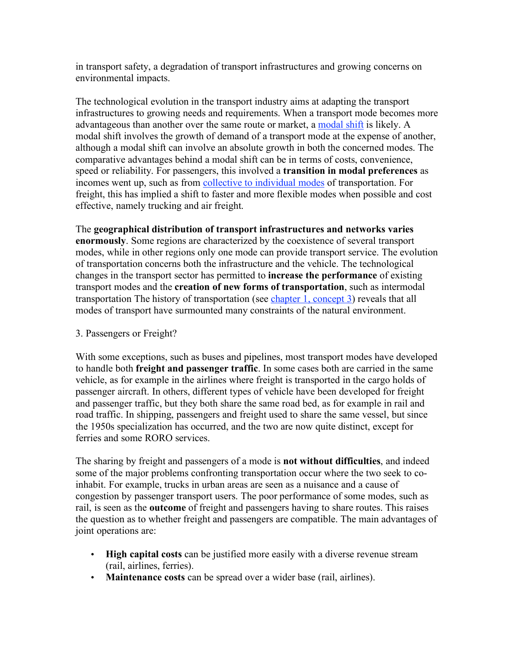in transport safety, a degradation of transport infrastructures and growing concerns on environmental impacts.

The technological evolution in the transport industry aims at adapting the transport infrastructures to growing needs and requirements. When a transport mode becomes more advantageous than another over the same route or market, a modal shift is likely. A modal shift involves the growth of demand of a transport mode at the expense of another, although a modal shift can involve an absolute growth in both the concerned modes. The comparative advantages behind a modal shift can be in terms of costs, convenience, speed or reliability. For passengers, this involved a **transition in modal preferences** as incomes went up, such as from **collective to individual modes** of transportation. For freight, this has implied a shift to faster and more flexible modes when possible and cost effective, namely trucking and air freight.

The **geographical distribution of transport infrastructures and networks varies enormously**. Some regions are characterized by the coexistence of several transport modes, while in other regions only one mode can provide transport service. The evolution of transportation concerns both the infrastructure and the vehicle. The technological changes in the transport sector has permitted to **increase the performance** of existing transport modes and the **creation of new forms of transportation**, such as intermodal transportation The history of transportation (see chapter 1, concept 3) reveals that all modes of transport have surmounted many constraints of the natural environment.

### 3. Passengers or Freight?

With some exceptions, such as buses and pipelines, most transport modes have developed to handle both **freight and passenger traffic**. In some cases both are carried in the same vehicle, as for example in the airlines where freight is transported in the cargo holds of passenger aircraft. In others, different types of vehicle have been developed for freight and passenger traffic, but they both share the same road bed, as for example in rail and road traffic. In shipping, passengers and freight used to share the same vessel, but since the 1950s specialization has occurred, and the two are now quite distinct, except for ferries and some RORO services.

The sharing by freight and passengers of a mode is **not without difficulties**, and indeed some of the major problems confronting transportation occur where the two seek to coinhabit. For example, trucks in urban areas are seen as a nuisance and a cause of congestion by passenger transport users. The poor performance of some modes, such as rail, is seen as the **outcome** of freight and passengers having to share routes. This raises the question as to whether freight and passengers are compatible. The main advantages of joint operations are:

- **High capital costs** can be justified more easily with a diverse revenue stream (rail, airlines, ferries).
- **Maintenance costs** can be spread over a wider base (rail, airlines).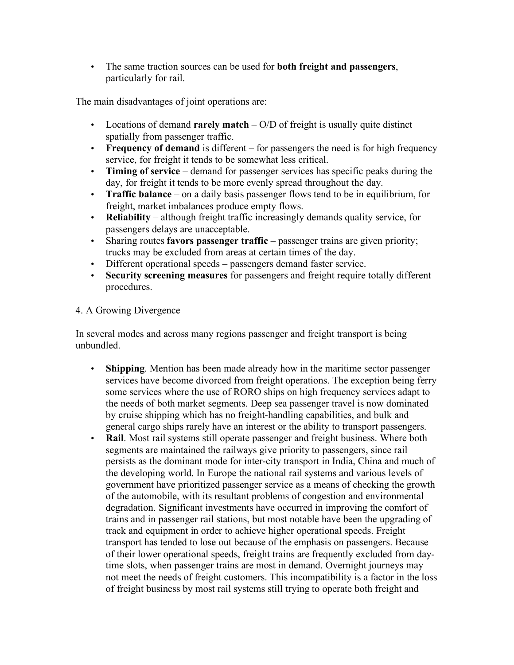• The same traction sources can be used for **both freight and passengers**, particularly for rail.

The main disadvantages of joint operations are:

- Locations of demand **rarely match** O/D of freight is usually quite distinct spatially from passenger traffic.
- **Frequency of demand** is different for passengers the need is for high frequency service, for freight it tends to be somewhat less critical.
- **Timing of service** demand for passenger services has specific peaks during the day, for freight it tends to be more evenly spread throughout the day.
- **Traffic balance** on a daily basis passenger flows tend to be in equilibrium, for freight, market imbalances produce empty flows.
- **Reliability** although freight traffic increasingly demands quality service, for passengers delays are unacceptable.
- Sharing routes **favors passenger traffic** passenger trains are given priority; trucks may be excluded from areas at certain times of the day.
- Different operational speeds passengers demand faster service.
- **Security screening measures** for passengers and freight require totally different procedures.

# 4. A Growing Divergence

In several modes and across many regions passenger and freight transport is being unbundled.

- **Shipping**. Mention has been made already how in the maritime sector passenger services have become divorced from freight operations. The exception being ferry some services where the use of RORO ships on high frequency services adapt to the needs of both market segments. Deep sea passenger travel is now dominated by cruise shipping which has no freight-handling capabilities, and bulk and general cargo ships rarely have an interest or the ability to transport passengers.
- **Rail**. Most rail systems still operate passenger and freight business. Where both segments are maintained the railways give priority to passengers, since rail persists as the dominant mode for inter-city transport in India, China and much of the developing world. In Europe the national rail systems and various levels of government have prioritized passenger service as a means of checking the growth of the automobile, with its resultant problems of congestion and environmental degradation. Significant investments have occurred in improving the comfort of trains and in passenger rail stations, but most notable have been the upgrading of track and equipment in order to achieve higher operational speeds. Freight transport has tended to lose out because of the emphasis on passengers. Because of their lower operational speeds, freight trains are frequently excluded from daytime slots, when passenger trains are most in demand. Overnight journeys may not meet the needs of freight customers. This incompatibility is a factor in the loss of freight business by most rail systems still trying to operate both freight and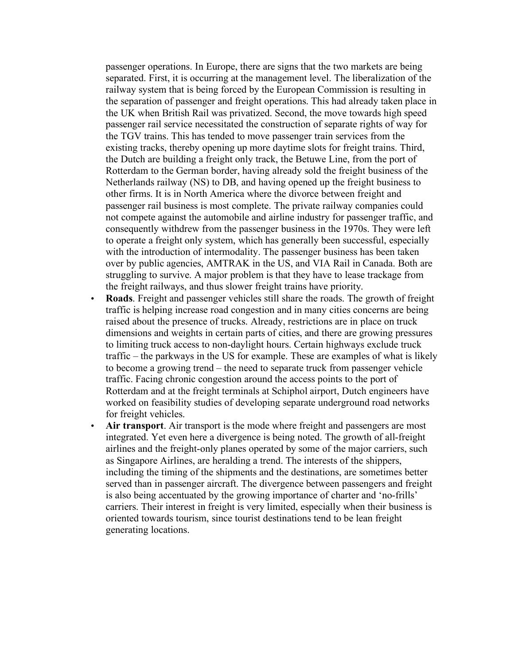passenger operations. In Europe, there are signs that the two markets are being separated. First, it is occurring at the management level. The liberalization of the railway system that is being forced by the European Commission is resulting in the separation of passenger and freight operations. This had already taken place in the UK when British Rail was privatized. Second, the move towards high speed passenger rail service necessitated the construction of separate rights of way for the TGV trains. This has tended to move passenger train services from the existing tracks, thereby opening up more daytime slots for freight trains. Third, the Dutch are building a freight only track, the Betuwe Line, from the port of Rotterdam to the German border, having already sold the freight business of the Netherlands railway (NS) to DB, and having opened up the freight business to other firms. It is in North America where the divorce between freight and passenger rail business is most complete. The private railway companies could not compete against the automobile and airline industry for passenger traffic, and consequently withdrew from the passenger business in the 1970s. They were left to operate a freight only system, which has generally been successful, especially with the introduction of intermodality. The passenger business has been taken over by public agencies, AMTRAK in the US, and VIA Rail in Canada. Both are struggling to survive. A major problem is that they have to lease trackage from the freight railways, and thus slower freight trains have priority.

- **Roads**. Freight and passenger vehicles still share the roads. The growth of freight traffic is helping increase road congestion and in many cities concerns are being raised about the presence of trucks. Already, restrictions are in place on truck dimensions and weights in certain parts of cities, and there are growing pressures to limiting truck access to non-daylight hours. Certain highways exclude truck traffic – the parkways in the US for example. These are examples of what is likely to become a growing trend – the need to separate truck from passenger vehicle traffic. Facing chronic congestion around the access points to the port of Rotterdam and at the freight terminals at Schiphol airport, Dutch engineers have worked on feasibility studies of developing separate underground road networks for freight vehicles.
- Air **transport**. Air transport is the mode where freight and passengers are most integrated. Yet even here a divergence is being noted. The growth of all-freight airlines and the freight-only planes operated by some of the major carriers, such as Singapore Airlines, are heralding a trend. The interests of the shippers, including the timing of the shipments and the destinations, are sometimes better served than in passenger aircraft. The divergence between passengers and freight is also being accentuated by the growing importance of charter and 'no-frills' carriers. Their interest in freight is very limited, especially when their business is oriented towards tourism, since tourist destinations tend to be lean freight generating locations.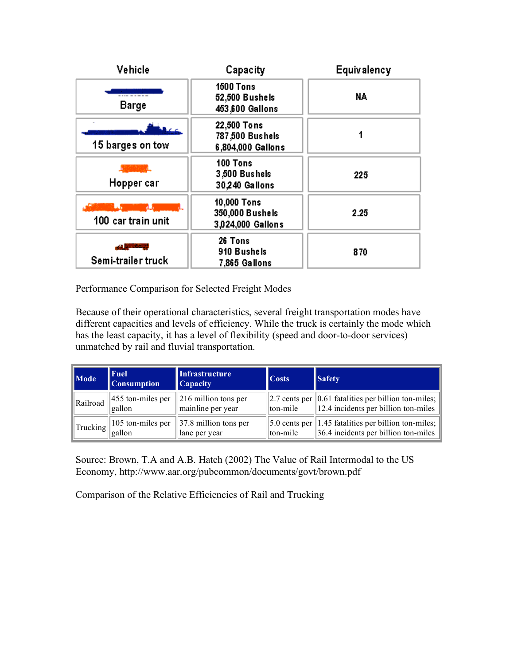| Vehicle            | Capacity                                              | <b>Equivalency</b> |
|--------------------|-------------------------------------------------------|--------------------|
| <b>Barge</b>       | <b>1500 Tons</b><br>52,500 Bushels<br>453,600 Gallons | NA                 |
| 15 barges on tow   | 22,500 Tons<br>787,500 Bushels<br>6,804,000 Gallons   |                    |
| Hopper car         | 100 Tons<br>3,500 Bushels<br>30,240 Gallons           | 225                |
| 100 car train unit | 10,000 Tons<br>350,000 Bushels<br>3,024,000 Gallons   | 2.25               |
| Semi-trailer truck | 26 Tons<br>910 Bushels<br>7,865 Gallons               | 870                |

Performance Comparison for Selected Freight Modes

Because of their operational characteristics, several freight transportation modes have different capacities and levels of efficiency. While the truck is certainly the mode which has the least capacity, it has a level of flexibility (speed and door-to-door services) unmatched by rail and fluvial transportation.

| $\ $ Mode          | <b>Fuel</b><br><b>Consumption</b>       | Infrastructure<br><b>Capacity</b>                      | <b>Costs</b> | <b>Safety</b>                                                                                                               |
|--------------------|-----------------------------------------|--------------------------------------------------------|--------------|-----------------------------------------------------------------------------------------------------------------------------|
| Railroad           | $ 455$ ton-miles per<br>gallon          | $\vert$ 216 million tons per<br>mainline per year      |              | 2.7 cents per    0.61 fatalities per billion ton-miles;<br>  ton-mile    12.4 incidents per billion ton-miles               |
| $\ $ Trucking $\ $ | $\parallel$ 105 ton-miles per<br>gallon | $\left 37.8 \right $ million tons per<br>lane per year | ton-mile     | $\vert$ 5.0 cents per $\vert$ 1.45 fatalities per billion ton-miles;<br>$\left 36.4\right $ incidents per billion ton-miles |

Source: Brown, T.A and A.B. Hatch (2002) The Value of Rail Intermodal to the US Economy, http://www.aar.org/pubcommon/documents/govt/brown.pdf

Comparison of the Relative Efficiencies of Rail and Trucking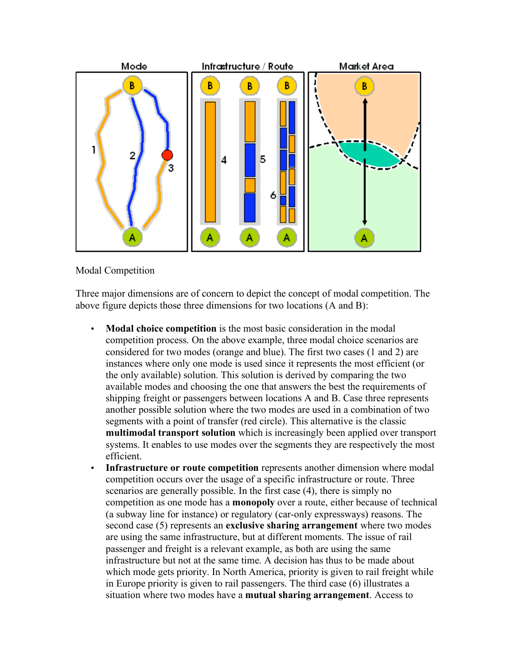

## Modal Competition

Three major dimensions are of concern to depict the concept of modal competition. The above figure depicts those three dimensions for two locations (A and B):

- **Modal choice competition** is the most basic consideration in the modal competition process. On the above example, three modal choice scenarios are considered for two modes (orange and blue). The first two cases (1 and 2) are instances where only one mode is used since it represents the most efficient (or the only available) solution. This solution is derived by comparing the two available modes and choosing the one that answers the best the requirements of shipping freight or passengers between locations A and B. Case three represents another possible solution where the two modes are used in a combination of two segments with a point of transfer (red circle). This alternative is the classic **multimodal transport solution** which is increasingly been applied over transport systems. It enables to use modes over the segments they are respectively the most efficient.
- **Infrastructure or route competition** represents another dimension where modal competition occurs over the usage of a specific infrastructure or route. Three scenarios are generally possible. In the first case (4), there is simply no competition as one mode has a **monopoly** over a route, either because of technical (a subway line for instance) or regulatory (car-only expressways) reasons. The second case (5) represents an **exclusive sharing arrangement** where two modes are using the same infrastructure, but at different moments. The issue of rail passenger and freight is a relevant example, as both are using the same infrastructure but not at the same time. A decision has thus to be made about which mode gets priority. In North America, priority is given to rail freight while in Europe priority is given to rail passengers. The third case (6) illustrates a situation where two modes have a **mutual sharing arrangement**. Access to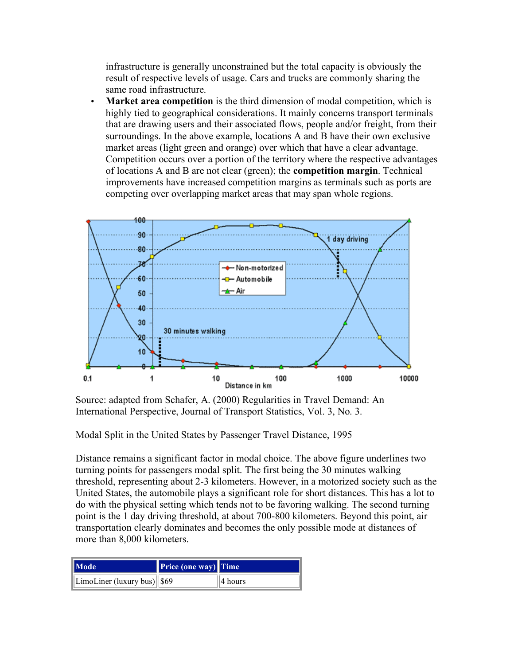infrastructure is generally unconstrained but the total capacity is obviously the result of respective levels of usage. Cars and trucks are commonly sharing the same road infrastructure.

• **Market area competition** is the third dimension of modal competition, which is highly tied to geographical considerations. It mainly concerns transport terminals that are drawing users and their associated flows, people and/or freight, from their surroundings. In the above example, locations A and B have their own exclusive market areas (light green and orange) over which that have a clear advantage. Competition occurs over a portion of the territory where the respective advantages of locations A and B are not clear (green); the **competition margin**. Technical improvements have increased competition margins as terminals such as ports are competing over overlapping market areas that may span whole regions.



Source: adapted from Schafer, A. (2000) Regularities in Travel Demand: An International Perspective, Journal of Transport Statistics, Vol. 3, No. 3.

Modal Split in the United States by Passenger Travel Distance, 1995

Distance remains a significant factor in modal choice. The above figure underlines two turning points for passengers modal split. The first being the 30 minutes walking threshold, representing about 2-3 kilometers. However, in a motorized society such as the United States, the automobile plays a significant role for short distances. This has a lot to do with the physical setting which tends not to be favoring walking. The second turning point is the 1 day driving threshold, at about 700-800 kilometers. Beyond this point, air transportation clearly dominates and becomes the only possible mode at distances of more than 8,000 kilometers.

| Mode                                  | <b>Price (one way)</b> Time |         |
|---------------------------------------|-----------------------------|---------|
| $\ $ LimoLiner (luxury bus) $\ $ \$69 |                             | 4 hours |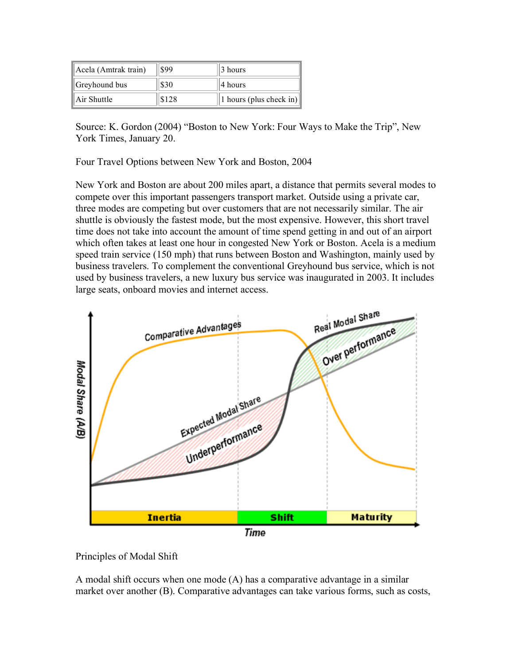| Acela (Amtrak train)      | \$99  | 3 hours                 |
|---------------------------|-------|-------------------------|
| $\parallel$ Greyhound bus | \$30  | 4 hours                 |
| $\parallel$ Air Shuttle   | \$128 | 1 hours (plus check in) |

Source: K. Gordon (2004) "Boston to New York: Four Ways to Make the Trip", New York Times, January 20.

Four Travel Options between New York and Boston, 2004

New York and Boston are about 200 miles apart, a distance that permits several modes to compete over this important passengers transport market. Outside using a private car, three modes are competing but over customers that are not necessarily similar. The air shuttle is obviously the fastest mode, but the most expensive. However, this short travel time does not take into account the amount of time spend getting in and out of an airport which often takes at least one hour in congested New York or Boston. Acela is a medium speed train service (150 mph) that runs between Boston and Washington, mainly used by business travelers. To complement the conventional Greyhound bus service, which is not used by business travelers, a new luxury bus service was inaugurated in 2003. It includes large seats, onboard movies and internet access.



Principles of Modal Shift

A modal shift occurs when one mode (A) has a comparative advantage in a similar market over another (B). Comparative advantages can take various forms, such as costs,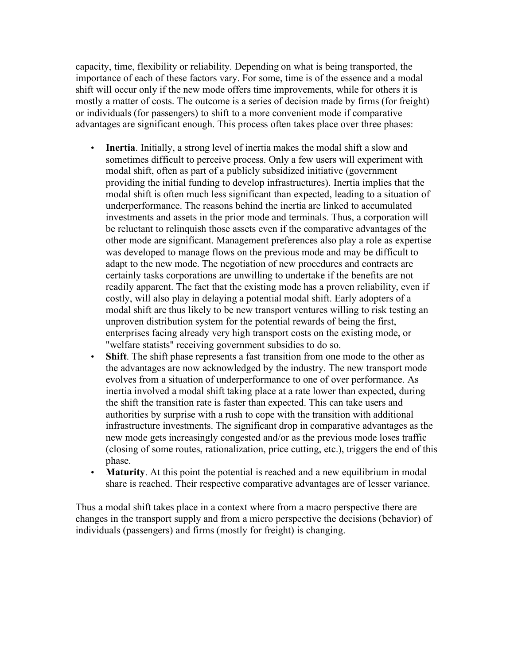capacity, time, flexibility or reliability. Depending on what is being transported, the importance of each of these factors vary. For some, time is of the essence and a modal shift will occur only if the new mode offers time improvements, while for others it is mostly a matter of costs. The outcome is a series of decision made by firms (for freight) or individuals (for passengers) to shift to a more convenient mode if comparative advantages are significant enough. This process often takes place over three phases:

- **Inertia**. Initially, a strong level of inertia makes the modal shift a slow and sometimes difficult to perceive process. Only a few users will experiment with modal shift, often as part of a publicly subsidized initiative (government providing the initial funding to develop infrastructures). Inertia implies that the modal shift is often much less significant than expected, leading to a situation of underperformance. The reasons behind the inertia are linked to accumulated investments and assets in the prior mode and terminals. Thus, a corporation will be reluctant to relinquish those assets even if the comparative advantages of the other mode are significant. Management preferences also play a role as expertise was developed to manage flows on the previous mode and may be difficult to adapt to the new mode. The negotiation of new procedures and contracts are certainly tasks corporations are unwilling to undertake if the benefits are not readily apparent. The fact that the existing mode has a proven reliability, even if costly, will also play in delaying a potential modal shift. Early adopters of a modal shift are thus likely to be new transport ventures willing to risk testing an unproven distribution system for the potential rewards of being the first, enterprises facing already very high transport costs on the existing mode, or "welfare statists" receiving government subsidies to do so.
- **Shift**. The shift phase represents a fast transition from one mode to the other as the advantages are now acknowledged by the industry. The new transport mode evolves from a situation of underperformance to one of over performance. As inertia involved a modal shift taking place at a rate lower than expected, during the shift the transition rate is faster than expected. This can take users and authorities by surprise with a rush to cope with the transition with additional infrastructure investments. The significant drop in comparative advantages as the new mode gets increasingly congested and/or as the previous mode loses traffic (closing of some routes, rationalization, price cutting, etc.), triggers the end of this phase.
- **Maturity**. At this point the potential is reached and a new equilibrium in modal share is reached. Their respective comparative advantages are of lesser variance.

Thus a modal shift takes place in a context where from a macro perspective there are changes in the transport supply and from a micro perspective the decisions (behavior) of individuals (passengers) and firms (mostly for freight) is changing.